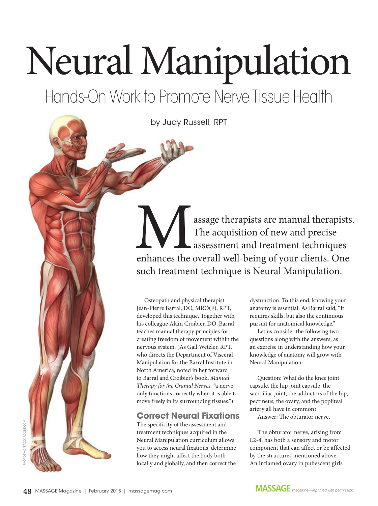# Neural Manipulation

Hands-On Work to Promote Nerve Tissue Health

by Judy Russell, RPT

assage therapists are manual therapists.<br>The acquisition of new and precise<br>assessment and treatment techniques<br>enhances the overall well-being of your clients. One The acquisition of new and precise assessment and treatment techniques enhances the overall well-being of your clients. One such treatment technique is Neural Manipulation.

Osteopath and physical therapist Jean-Pierre Barral, DO, MRO(F), RPT, developed this technique. Together with his colleague Alain Croibier, DO, Barral teaches manual therapy principles for creating freedom of movement within the nervous system. (As Gail Wetzler, RPT, who directs the Department of Visceral Manipulation for the Barral Institute in North America, noted in her forward to Barral and Croibier's book, *Manual Therapy for the Cranial Nerves,* "a nerve only functions correctly when it is able to move freely in its surrounding tissues.")

### **Correct Neural Fixations**

The specificity of the assessment and treatment techniques acquired in the Neural Manipulation curriculum allows you to access neural fixations, determine how they might affect the body both locally and globally, and then correct the dysfunction. To this end, knowing your anatomy is essential. As Barral said, "It requires skills, but also the continuous pursuit for anatomical knowledge."

Let us consider the following two questions along with the answers, as an exercise in understanding how your knowledge of anatomy will grow with Neural Manipulation:

Question: What do the knee joint capsule, the hip joint capsule, the sacroiliac joint, the adductors of the hip, pectineus, the ovary, and the popliteal artery all have in common?

Answer: The obturator nerve.

The obturator nerve, arising from L2-4, has both a sensory and motor component that can affect or be affected by the structures mentioned above. An inflamed ovary in pubescent girls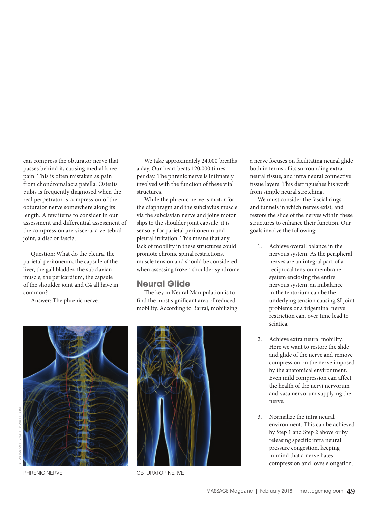can compress the obturator nerve that passes behind it, causing medial knee pain. This is often mistaken as pain from chondromalacia patella. Osteitis pubis is frequently diagnosed when the real perpetrator is compression of the obturator nerve somewhere along its length. A few items to consider in our assessment and differential assessment of the compression are viscera, a vertebral joint, a disc or fascia.

Question: What do the pleura, the parietal peritoneum, the capsule of the liver, the gall bladder, the subclavian muscle, the pericardium, the capsule of the shoulder joint and C4 all have in common?

Answer: The phrenic nerve.

We take approximately 24,000 breaths a day. Our heart beats 120,000 times per day. The phrenic nerve is intimately involved with the function of these vital structures.

While the phrenic nerve is motor for the diaphragm and the subclavius muscle via the subclavian nerve and joins motor slips to the shoulder joint capsule, it is sensory for parietal peritoneum and pleural irritation. This means that any lack of mobility in these structures could promote chronic spinal restrictions, muscle tension and should be considered when assessing frozen shoulder syndrome.

#### **Neural Glide**

The key in Neural Manipulation is to find the most significant area of reduced mobility. According to Barral, mobilizing





PHRENIC NERVE **OBTURATOR NERVE** 

a nerve focuses on facilitating neural glide both in terms of its surrounding extra neural tissue, and intra neural connective tissue layers. This distinguishes his work from simple neural stretching.

We must consider the fascial rings and tunnels in which nerves exist, and restore the slide of the nerves within these structures to enhance their function. Our goals involve the following:

- 1. Achieve overall balance in the nervous system. As the peripheral nerves are an integral part of a reciprocal tension membrane system enclosing the entire nervous system, an imbalance in the tentorium can be the underlying tension causing SI joint problems or a trigeminal nerve restriction can, over time lead to sciatica.
- 2. Achieve extra neural mobility. Here we want to restore the slide and glide of the nerve and remove compression on the nerve imposed by the anatomical environment. Even mild compression can affect the health of the nervi nervorum and vasa nervorum supplying the nerve.
- 3. Normalize the intra neural environment. This can be achieved by Step 1 and Step 2 above or by releasing specific intra neural pressure congestion, keeping in mind that a nerve hates compression and loves elongation.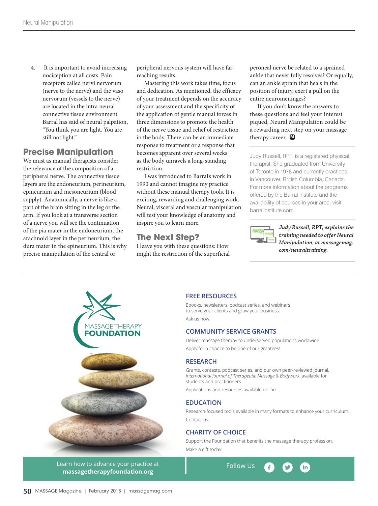4. It is important to avoid increasing nociception at all costs. Pain receptors called nervi nervorum (nerve to the nerve) and the vaso nervorum (vessels to the nerve) are located in the intra neural connective tissue environment. Barral has said of neural palpation, "You think you are light. You are still not light."

### **Precise Manipulation**

We must as manual therapists consider the relevance of the composition of a peripheral nerve. The connective tissue layers are the endoneurium, perineurium, epineurium and mesoneurium (blood supply). Anatomically, a nerve is like a part of the brain sitting in the leg or the arm. If you look at a transverse section of a nerve you will see the continuation of the pia mater in the endoneurium, the arachnoid layer in the perineurium, the dura mater in the epineurium. This is why precise manipulation of the central or

peripheral nervous system will have farreaching results.

Mastering this work takes time, focus and dedication. As mentioned, the efficacy of your treatment depends on the accuracy of your assessment and the specificity of the application of gentle manual forces in three dimensions to promote the health of the nerve tissue and relief of restriction in the body. There can be an immediate response to treatment or a response that becomes apparent over several weeks as the body unravels a long-standing restriction.

I was introduced to Barral's work in 1990 and cannot imagine my practice without these manual therapy tools. It is exciting, rewarding and challenging work. Neural, visceral and vascular manipulation will test your knowledge of anatomy and inspire you to learn more.

## **The Next Step?**

I leave you with these questions: How might the restriction of the superficial peroneal nerve be related to a sprained ankle that never fully resolves? Or equally, can an ankle sprain that heals in the position of injury, exert a pull on the entire neuromeninges?

If you don't know the answers to these questions and feel your interest piqued, Neural Manipulation could be a rewarding next step on your massage therapy career. **M**

Judy Russell, RPT, is a registered physical therapist. She graduated from University of Toronto in 1978 and currently practices in Vancouver, British Columbia, Canada. For more information about the programs offered by the Barral Institute and the availability of courses in your area, visit barralinstitute.com.



*Judy Russell, RPT, explains the training needed to offer Neural Manipulation, at massagemag. com/neuraltraining.* 



Learn how to advance your practice at **massagetherapyfoundation.org**

#### **FREE RESOURCES**

Ebooks, newsletters, podcast series, and webinars to serve your clients and grow your business. Ask us how.

#### **COMMUNITY SERVICE GRANTS**

Deliver massage therapy to underserved populations worldwide. Apply for a chance to be one of our grantees!

#### **RESEARCH**

Grants, contests, podcast series, and our own peer-reviewed journal, *International Journal of Therapeutic Massage & Bodywork*, available for students and practitioners.

Applications and resources available online.

#### **EDUCATION**

Research-focused tools available in many formats to enhance your curriculum. Contact us.

#### **CHARITY OF CHOICE**

Support the Foundation that benefits the massage therapy profession. Make a gift today!

Follow Us